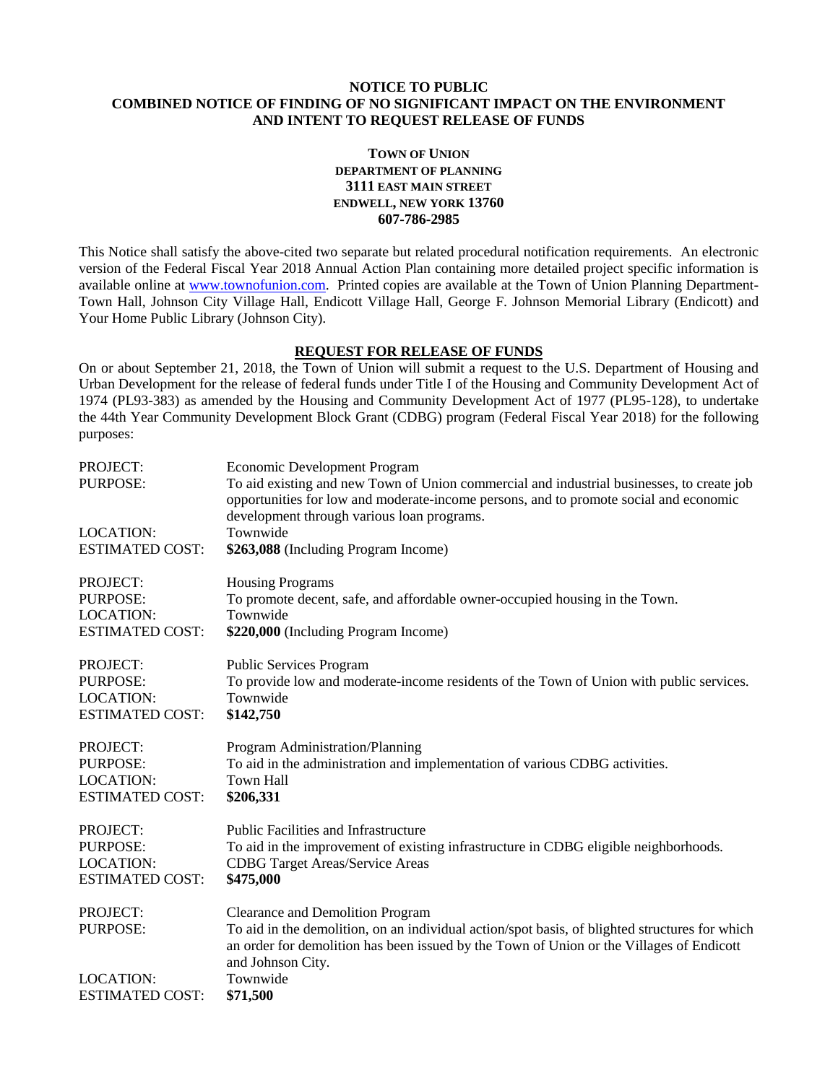#### **NOTICE TO PUBLIC COMBINED NOTICE OF FINDING OF NO SIGNIFICANT IMPACT ON THE ENVIRONMENT AND INTENT TO REQUEST RELEASE OF FUNDS**

## **TOWN OF UNION DEPARTMENT OF PLANNING 3111 EAST MAIN STREET ENDWELL, NEW YORK 13760 607-786-2985**

This Notice shall satisfy the above-cited two separate but related procedural notification requirements. An electronic version of the Federal Fiscal Year 2018 Annual Action Plan containing more detailed project specific information is available online at [www.townofunion.com.](../Year%2039%20CDBG%20Budget/www.townofunion.com) Printed copies are available at the Town of Union Planning Department-Town Hall, Johnson City Village Hall, Endicott Village Hall, George F. Johnson Memorial Library (Endicott) and Your Home Public Library (Johnson City).

# **REQUEST FOR RELEASE OF FUNDS**

On or about September 21, 2018, the Town of Union will submit a request to the U.S. Department of Housing and Urban Development for the release of federal funds under Title I of the Housing and Community Development Act of 1974 (PL93-383) as amended by the Housing and Community Development Act of 1977 (PL95-128), to undertake the 44th Year Community Development Block Grant (CDBG) program (Federal Fiscal Year 2018) for the following purposes:

| <b>PROJECT:</b><br><b>PURPOSE:</b> | <b>Economic Development Program</b><br>To aid existing and new Town of Union commercial and industrial businesses, to create job<br>opportunities for low and moderate-income persons, and to promote social and economic<br>development through various loan programs. |
|------------------------------------|-------------------------------------------------------------------------------------------------------------------------------------------------------------------------------------------------------------------------------------------------------------------------|
| <b>LOCATION:</b>                   | Townwide                                                                                                                                                                                                                                                                |
| <b>ESTIMATED COST:</b>             | \$263,088 (Including Program Income)                                                                                                                                                                                                                                    |
| PROJECT:                           | <b>Housing Programs</b>                                                                                                                                                                                                                                                 |
| PURPOSE:                           | To promote decent, safe, and affordable owner-occupied housing in the Town.                                                                                                                                                                                             |
| <b>LOCATION:</b>                   | Townwide                                                                                                                                                                                                                                                                |
| <b>ESTIMATED COST:</b>             | \$220,000 (Including Program Income)                                                                                                                                                                                                                                    |
| PROJECT:                           | Public Services Program                                                                                                                                                                                                                                                 |
| <b>PURPOSE:</b>                    | To provide low and moderate-income residents of the Town of Union with public services.                                                                                                                                                                                 |
| <b>LOCATION:</b>                   | Townwide                                                                                                                                                                                                                                                                |
| <b>ESTIMATED COST:</b>             | \$142,750                                                                                                                                                                                                                                                               |
| PROJECT:                           | Program Administration/Planning                                                                                                                                                                                                                                         |
| <b>PURPOSE:</b>                    | To aid in the administration and implementation of various CDBG activities.                                                                                                                                                                                             |
| <b>LOCATION:</b>                   | <b>Town Hall</b>                                                                                                                                                                                                                                                        |
| <b>ESTIMATED COST:</b>             | \$206,331                                                                                                                                                                                                                                                               |
| PROJECT:                           | <b>Public Facilities and Infrastructure</b>                                                                                                                                                                                                                             |
| PURPOSE:                           | To aid in the improvement of existing infrastructure in CDBG eligible neighborhoods.                                                                                                                                                                                    |
| <b>LOCATION:</b>                   | <b>CDBG</b> Target Areas/Service Areas                                                                                                                                                                                                                                  |
| <b>ESTIMATED COST:</b>             | \$475,000                                                                                                                                                                                                                                                               |
| PROJECT:<br><b>PURPOSE:</b>        | <b>Clearance and Demolition Program</b><br>To aid in the demolition, on an individual action/spot basis, of blighted structures for which<br>an order for demolition has been issued by the Town of Union or the Villages of Endicott<br>and Johnson City.              |
| <b>LOCATION:</b>                   | Townwide                                                                                                                                                                                                                                                                |
| <b>ESTIMATED COST:</b>             | \$71,500                                                                                                                                                                                                                                                                |